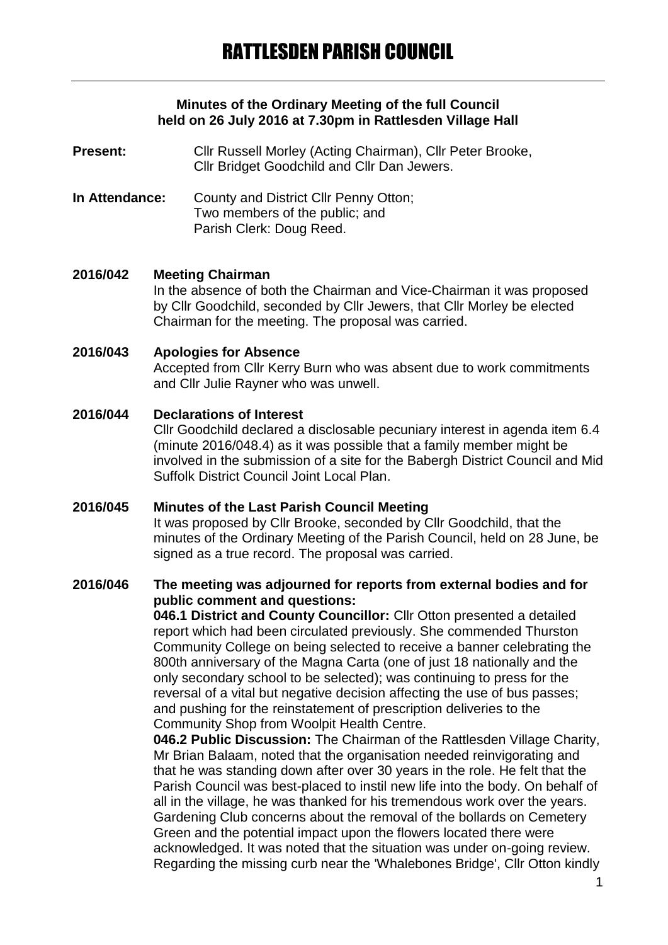### **Minutes of the Ordinary Meeting of the full Council held on 26 July 2016 at 7.30pm in Rattlesden Village Hall**

- **Present:** Cllr Russell Morley (Acting Chairman), Cllr Peter Brooke, Cllr Bridget Goodchild and Cllr Dan Jewers.
- **In Attendance:** County and District Cllr Penny Otton; Two members of the public; and Parish Clerk: Doug Reed.

### **2016/042 Meeting Chairman**

In the absence of both the Chairman and Vice-Chairman it was proposed by Cllr Goodchild, seconded by Cllr Jewers, that Cllr Morley be elected Chairman for the meeting. The proposal was carried.

### **2016/043 Apologies for Absence**

Accepted from Cllr Kerry Burn who was absent due to work commitments and Cllr Julie Rayner who was unwell.

## **2016/044 Declarations of Interest**

Cllr Goodchild declared a disclosable pecuniary interest in agenda item 6.4 (minute 2016/048.4) as it was possible that a family member might be involved in the submission of a site for the Babergh District Council and Mid Suffolk District Council Joint Local Plan.

### **2016/045 Minutes of the Last Parish Council Meeting**

It was proposed by Cllr Brooke, seconded by Cllr Goodchild, that the minutes of the Ordinary Meeting of the Parish Council, held on 28 June, be signed as a true record. The proposal was carried.

# **2016/046 The meeting was adjourned for reports from external bodies and for public comment and questions:**

**046.1 District and County Councillor:** Cllr Otton presented a detailed report which had been circulated previously. She commended Thurston Community College on being selected to receive a banner celebrating the 800th anniversary of the Magna Carta (one of just 18 nationally and the only secondary school to be selected); was continuing to press for the reversal of a vital but negative decision affecting the use of bus passes; and pushing for the reinstatement of prescription deliveries to the Community Shop from Woolpit Health Centre.

**046.2 Public Discussion:** The Chairman of the Rattlesden Village Charity, Mr Brian Balaam, noted that the organisation needed reinvigorating and that he was standing down after over 30 years in the role. He felt that the Parish Council was best-placed to instil new life into the body. On behalf of all in the village, he was thanked for his tremendous work over the years. Gardening Club concerns about the removal of the bollards on Cemetery Green and the potential impact upon the flowers located there were acknowledged. It was noted that the situation was under on-going review. Regarding the missing curb near the 'Whalebones Bridge', Cllr Otton kindly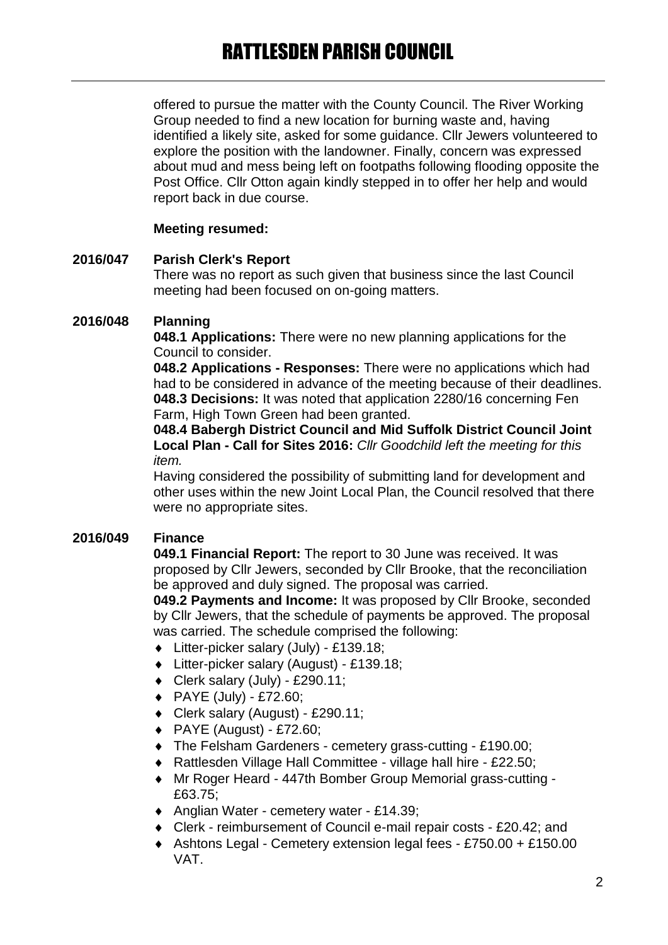offered to pursue the matter with the County Council. The River Working Group needed to find a new location for burning waste and, having identified a likely site, asked for some guidance. Cllr Jewers volunteered to explore the position with the landowner. Finally, concern was expressed about mud and mess being left on footpaths following flooding opposite the Post Office. Cllr Otton again kindly stepped in to offer her help and would report back in due course.

# **Meeting resumed:**

# **2016/047 Parish Clerk's Report**

There was no report as such given that business since the last Council meeting had been focused on on-going matters.

# **2016/048 Planning**

**048.1 Applications:** There were no new planning applications for the Council to consider.

**048.2 Applications - Responses:** There were no applications which had had to be considered in advance of the meeting because of their deadlines. **048.3 Decisions:** It was noted that application 2280/16 concerning Fen Farm, High Town Green had been granted.

**048.4 Babergh District Council and Mid Suffolk District Council Joint Local Plan - Call for Sites 2016:** *Cllr Goodchild left the meeting for this item.*

Having considered the possibility of submitting land for development and other uses within the new Joint Local Plan, the Council resolved that there were no appropriate sites.

# **2016/049 Finance**

**049.1 Financial Report:** The report to 30 June was received. It was proposed by Cllr Jewers, seconded by Cllr Brooke, that the reconciliation be approved and duly signed. The proposal was carried.

**049.2 Payments and Income:** It was proposed by Cllr Brooke, seconded by Cllr Jewers, that the schedule of payments be approved. The proposal was carried. The schedule comprised the following:

- Litter-picker salary (July) £139.18;
- Litter-picker salary (August) £139.18;
- $\bullet$  Clerk salary (July) £290.11;
- PAYE (July) £72.60;
- Clerk salary (August) £290.11;
- $\blacklozenge$  PAYE (August) £72.60;
- The Felsham Gardeners cemetery grass-cutting £190.00;
- Rattlesden Village Hall Committee village hall hire £22.50;
- Mr Roger Heard 447th Bomber Group Memorial grass-cutting £63.75;
- Anglian Water cemetery water £14.39;
- Clerk reimbursement of Council e-mail repair costs £20.42; and
- Ashtons Legal Cemetery extension legal fees £750.00 + £150.00 VAT.